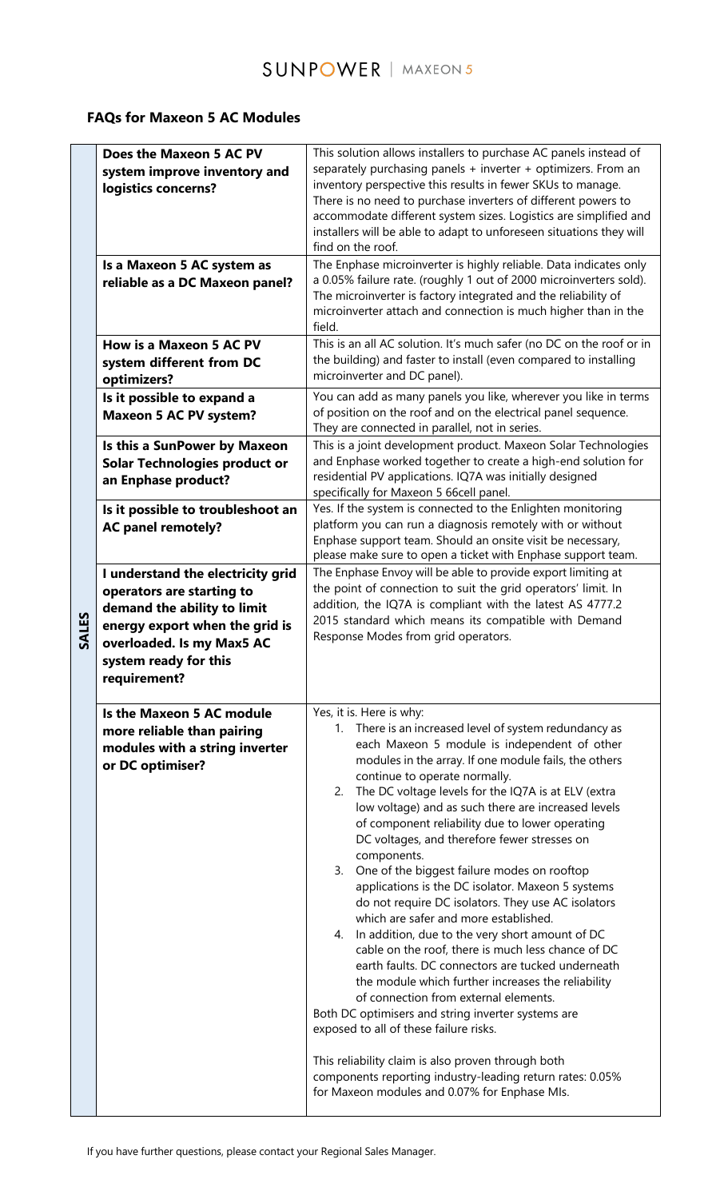## **FAQs for Maxeon 5 AC Modules**

| SALES | Does the Maxeon 5 AC PV<br>system improve inventory and<br>logistics concerns?                                                                                                                        | This solution allows installers to purchase AC panels instead of<br>separately purchasing panels + inverter + optimizers. From an<br>inventory perspective this results in fewer SKUs to manage.<br>There is no need to purchase inverters of different powers to<br>accommodate different system sizes. Logistics are simplified and<br>installers will be able to adapt to unforeseen situations they will<br>find on the roof.                                                                                                                                                                                                                                                                                                                                                                                                                                                                                                                                                                                                                                                                                                                                                                               |
|-------|-------------------------------------------------------------------------------------------------------------------------------------------------------------------------------------------------------|-----------------------------------------------------------------------------------------------------------------------------------------------------------------------------------------------------------------------------------------------------------------------------------------------------------------------------------------------------------------------------------------------------------------------------------------------------------------------------------------------------------------------------------------------------------------------------------------------------------------------------------------------------------------------------------------------------------------------------------------------------------------------------------------------------------------------------------------------------------------------------------------------------------------------------------------------------------------------------------------------------------------------------------------------------------------------------------------------------------------------------------------------------------------------------------------------------------------|
|       | Is a Maxeon 5 AC system as<br>reliable as a DC Maxeon panel?                                                                                                                                          | The Enphase microinverter is highly reliable. Data indicates only<br>a 0.05% failure rate. (roughly 1 out of 2000 microinverters sold).<br>The microinverter is factory integrated and the reliability of<br>microinverter attach and connection is much higher than in the<br>field.                                                                                                                                                                                                                                                                                                                                                                                                                                                                                                                                                                                                                                                                                                                                                                                                                                                                                                                           |
|       | <b>How is a Maxeon 5 AC PV</b><br>system different from DC<br>optimizers?                                                                                                                             | This is an all AC solution. It's much safer (no DC on the roof or in<br>the building) and faster to install (even compared to installing<br>microinverter and DC panel).                                                                                                                                                                                                                                                                                                                                                                                                                                                                                                                                                                                                                                                                                                                                                                                                                                                                                                                                                                                                                                        |
|       | Is it possible to expand a<br><b>Maxeon 5 AC PV system?</b>                                                                                                                                           | You can add as many panels you like, wherever you like in terms<br>of position on the roof and on the electrical panel sequence.<br>They are connected in parallel, not in series.                                                                                                                                                                                                                                                                                                                                                                                                                                                                                                                                                                                                                                                                                                                                                                                                                                                                                                                                                                                                                              |
|       | Is this a SunPower by Maxeon<br><b>Solar Technologies product or</b><br>an Enphase product?                                                                                                           | This is a joint development product. Maxeon Solar Technologies<br>and Enphase worked together to create a high-end solution for<br>residential PV applications. IQ7A was initially designed<br>specifically for Maxeon 5 66cell panel.                                                                                                                                                                                                                                                                                                                                                                                                                                                                                                                                                                                                                                                                                                                                                                                                                                                                                                                                                                          |
|       | Is it possible to troubleshoot an<br><b>AC panel remotely?</b>                                                                                                                                        | Yes. If the system is connected to the Enlighten monitoring<br>platform you can run a diagnosis remotely with or without<br>Enphase support team. Should an onsite visit be necessary,<br>please make sure to open a ticket with Enphase support team.                                                                                                                                                                                                                                                                                                                                                                                                                                                                                                                                                                                                                                                                                                                                                                                                                                                                                                                                                          |
|       | I understand the electricity grid<br>operators are starting to<br>demand the ability to limit<br>energy export when the grid is<br>overloaded. Is my Max5 AC<br>system ready for this<br>requirement? | The Enphase Envoy will be able to provide export limiting at<br>the point of connection to suit the grid operators' limit. In<br>addition, the IQ7A is compliant with the latest AS 4777.2<br>2015 standard which means its compatible with Demand<br>Response Modes from grid operators.                                                                                                                                                                                                                                                                                                                                                                                                                                                                                                                                                                                                                                                                                                                                                                                                                                                                                                                       |
|       | Is the Maxeon 5 AC module<br>more reliable than pairing<br>modules with a string inverter<br>or DC optimiser?                                                                                         | Yes, it is. Here is why:<br>1. There is an increased level of system redundancy as<br>each Maxeon 5 module is independent of other<br>modules in the array. If one module fails, the others<br>continue to operate normally.<br>The DC voltage levels for the IQ7A is at ELV (extra<br>2.<br>low voltage) and as such there are increased levels<br>of component reliability due to lower operating<br>DC voltages, and therefore fewer stresses on<br>components.<br>3. One of the biggest failure modes on rooftop<br>applications is the DC isolator. Maxeon 5 systems<br>do not require DC isolators. They use AC isolators<br>which are safer and more established.<br>In addition, due to the very short amount of DC<br>4.<br>cable on the roof, there is much less chance of DC<br>earth faults. DC connectors are tucked underneath<br>the module which further increases the reliability<br>of connection from external elements.<br>Both DC optimisers and string inverter systems are<br>exposed to all of these failure risks.<br>This reliability claim is also proven through both<br>components reporting industry-leading return rates: 0.05%<br>for Maxeon modules and 0.07% for Enphase MIs. |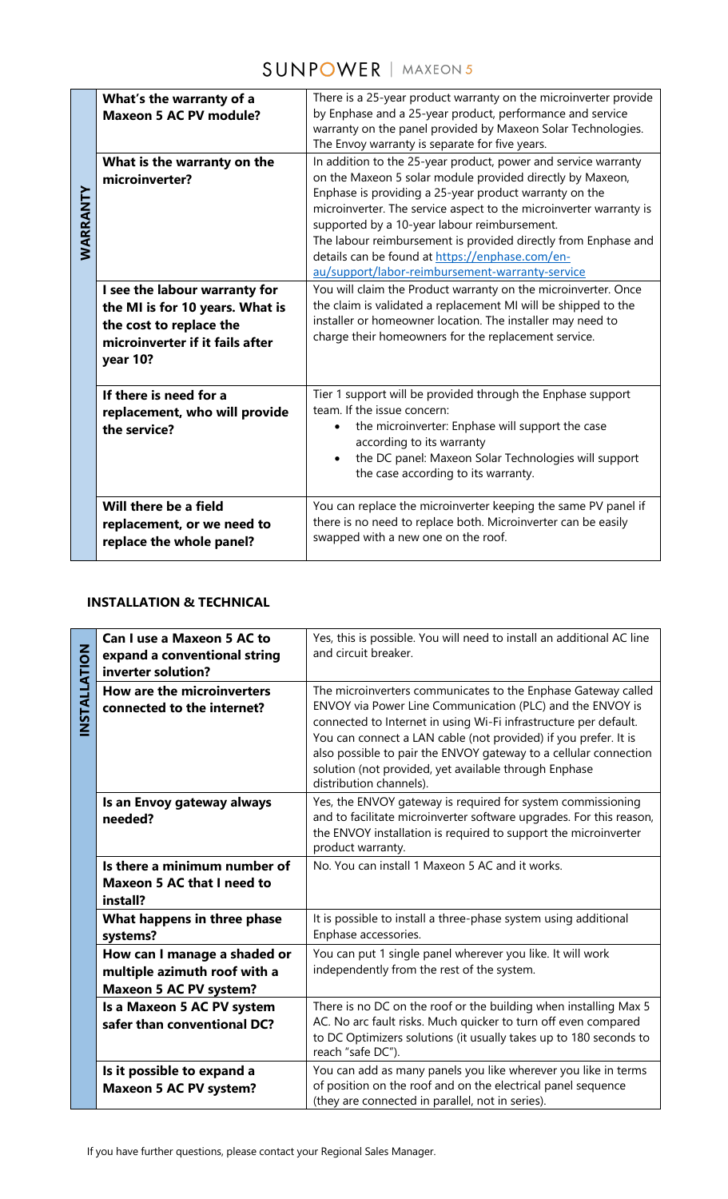## **SUNPOWER** | MAXEON 5

| WARRANTY | What's the warranty of a<br><b>Maxeon 5 AC PV module?</b><br>What is the warranty on the<br>microinverter?<br>I see the labour warranty for<br>the MI is for 10 years. What is<br>the cost to replace the<br>microinverter if it fails after<br>year 10? | There is a 25-year product warranty on the microinverter provide<br>by Enphase and a 25-year product, performance and service<br>warranty on the panel provided by Maxeon Solar Technologies.<br>The Envoy warranty is separate for five years.<br>In addition to the 25-year product, power and service warranty<br>on the Maxeon 5 solar module provided directly by Maxeon,<br>Enphase is providing a 25-year product warranty on the<br>microinverter. The service aspect to the microinverter warranty is<br>supported by a 10-year labour reimbursement.<br>The labour reimbursement is provided directly from Enphase and<br>details can be found at https://enphase.com/en-<br>au/support/labor-reimbursement-warranty-service<br>You will claim the Product warranty on the microinverter. Once<br>the claim is validated a replacement MI will be shipped to the<br>installer or homeowner location. The installer may need to<br>charge their homeowners for the replacement service. |
|----------|----------------------------------------------------------------------------------------------------------------------------------------------------------------------------------------------------------------------------------------------------------|--------------------------------------------------------------------------------------------------------------------------------------------------------------------------------------------------------------------------------------------------------------------------------------------------------------------------------------------------------------------------------------------------------------------------------------------------------------------------------------------------------------------------------------------------------------------------------------------------------------------------------------------------------------------------------------------------------------------------------------------------------------------------------------------------------------------------------------------------------------------------------------------------------------------------------------------------------------------------------------------------|
|          | If there is need for a<br>replacement, who will provide<br>the service?                                                                                                                                                                                  | Tier 1 support will be provided through the Enphase support<br>team. If the issue concern:<br>the microinverter: Enphase will support the case<br>according to its warranty<br>the DC panel: Maxeon Solar Technologies will support<br>the case according to its warranty.                                                                                                                                                                                                                                                                                                                                                                                                                                                                                                                                                                                                                                                                                                                       |
|          | Will there be a field<br>replacement, or we need to<br>replace the whole panel?                                                                                                                                                                          | You can replace the microinverter keeping the same PV panel if<br>there is no need to replace both. Microinverter can be easily<br>swapped with a new one on the roof.                                                                                                                                                                                                                                                                                                                                                                                                                                                                                                                                                                                                                                                                                                                                                                                                                           |

## **INSTALLATION & TECHNICAL**

| WARRANTY                            | I see the labour warranty for<br>the MI is for 10 years. What is<br>the cost to replace the<br>microinverter if it fails after<br>year 10? | Enphase is providing a 25-year product warranty on the<br>microinverter. The service aspect to the microinverter warranty is<br>supported by a 10-year labour reimbursement.<br>The labour reimbursement is provided directly from Enphase and<br>details can be found at https://enphase.com/en-<br>au/support/labor-reimbursement-warranty-service<br>You will claim the Product warranty on the microinverter. Once<br>the claim is validated a replacement MI will be shipped to the<br>installer or homeowner location. The installer may need to<br>charge their homeowners for the replacement service. |  |  |
|-------------------------------------|--------------------------------------------------------------------------------------------------------------------------------------------|----------------------------------------------------------------------------------------------------------------------------------------------------------------------------------------------------------------------------------------------------------------------------------------------------------------------------------------------------------------------------------------------------------------------------------------------------------------------------------------------------------------------------------------------------------------------------------------------------------------|--|--|
|                                     | If there is need for a<br>replacement, who will provide<br>the service?                                                                    | Tier 1 support will be provided through the Enphase support<br>team. If the issue concern:<br>the microinverter: Enphase will support the case<br>according to its warranty<br>the DC panel: Maxeon Solar Technologies will support<br>the case according to its warranty.                                                                                                                                                                                                                                                                                                                                     |  |  |
|                                     | Will there be a field<br>replacement, or we need to<br>replace the whole panel?                                                            | You can replace the microinverter keeping the same PV panel if<br>there is no need to replace both. Microinverter can be easily<br>swapped with a new one on the roof.                                                                                                                                                                                                                                                                                                                                                                                                                                         |  |  |
| <b>INSTALLATION &amp; TECHNICAL</b> |                                                                                                                                            |                                                                                                                                                                                                                                                                                                                                                                                                                                                                                                                                                                                                                |  |  |
|                                     | Can I use a Maxeon 5 AC to<br>expand a conventional string<br>inverter solution?                                                           | Yes, this is possible. You will need to install an additional AC line<br>and circuit breaker.                                                                                                                                                                                                                                                                                                                                                                                                                                                                                                                  |  |  |
| INSTALLATION                        | How are the microinverters<br>connected to the internet?                                                                                   | The microinverters communicates to the Enphase Gateway called<br>ENVOY via Power Line Communication (PLC) and the ENVOY is<br>connected to Internet in using Wi-Fi infrastructure per default.<br>You can connect a LAN cable (not provided) if you prefer. It is<br>also possible to pair the ENVOY gateway to a cellular connection<br>solution (not provided, yet available through Enphase<br>distribution channels).                                                                                                                                                                                      |  |  |
|                                     | Is an Envoy gateway always<br>needed?                                                                                                      | Yes, the ENVOY gateway is required for system commissioning<br>and to facilitate microinverter software upgrades. For this reason,<br>the ENVOY installation is required to support the microinverter<br>product warranty.                                                                                                                                                                                                                                                                                                                                                                                     |  |  |
|                                     | Is there a minimum number of<br><b>Maxeon 5 AC that I need to</b><br>install?                                                              | No. You can install 1 Maxeon 5 AC and it works.                                                                                                                                                                                                                                                                                                                                                                                                                                                                                                                                                                |  |  |
|                                     | What happens in three phase<br>systems?                                                                                                    | It is possible to install a three-phase system using additional<br>Enphase accessories.                                                                                                                                                                                                                                                                                                                                                                                                                                                                                                                        |  |  |
|                                     | How can I manage a shaded or<br>multiple azimuth roof with a<br><b>Maxeon 5 AC PV system?</b>                                              | You can put 1 single panel wherever you like. It will work<br>independently from the rest of the system.                                                                                                                                                                                                                                                                                                                                                                                                                                                                                                       |  |  |
|                                     | Is a Maxeon 5 AC PV system<br>safer than conventional DC?                                                                                  | There is no DC on the roof or the building when installing Max 5<br>AC. No arc fault risks. Much quicker to turn off even compared<br>to DC Optimizers solutions (it usually takes up to 180 seconds to<br>reach "safe DC").                                                                                                                                                                                                                                                                                                                                                                                   |  |  |
|                                     | Is it possible to expand a<br><b>Maxeon 5 AC PV system?</b>                                                                                | You can add as many panels you like wherever you like in terms<br>of position on the roof and on the electrical panel sequence<br>(they are connected in parallel, not in series).                                                                                                                                                                                                                                                                                                                                                                                                                             |  |  |
|                                     | If you have further questions, please contact your Regional Sales Manager.                                                                 |                                                                                                                                                                                                                                                                                                                                                                                                                                                                                                                                                                                                                |  |  |